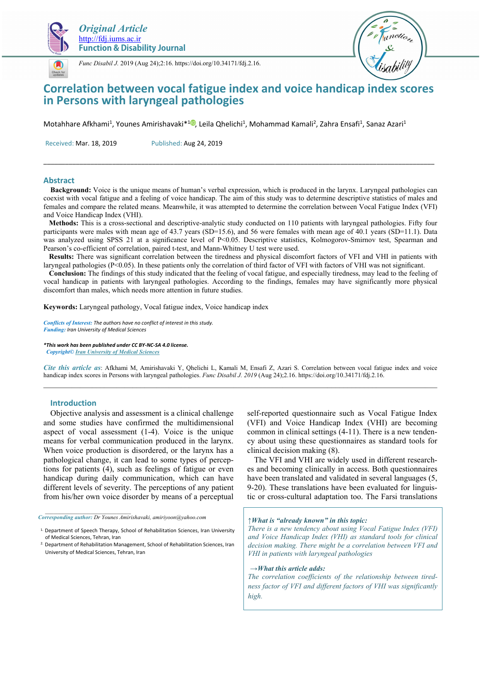



*Func Disabil J.* 2019 (Aug 24);2:16. https://doi.org/10.34171/fdj.2.16.

# **Correlation between vocal fatigue index and voice handicap index scores in Persons with laryngeal pathologies**

Motahhare Afkhami<sup>1</sup>, Younes Amirishavaki\*<sup>10</sup>, Leila Qhelichi<sup>1</sup>, Mohammad Kamali<sup>2</sup>, Zahra Ensafi<sup>1</sup>, Sanaz Azari<sup>1</sup>

Received: Mar. 18, 2019 Published: Aug 24, 2019

### **Abstract**

 **Background:** Voice is the unique means of human's verbal expression, which is produced in the larynx. Laryngeal pathologies can coexist with vocal fatigue and a feeling of voice handicap. The aim of this study was to determine descriptive statistics of males and females and compare the related means. Meanwhile, it was attempted to determine the correlation between Vocal Fatigue Index (VFI) and Voice Handicap Index (VHI).

\_\_\_\_\_\_\_\_\_\_\_\_\_\_\_\_\_\_\_\_\_\_\_\_\_\_\_\_\_\_\_\_\_\_\_\_\_\_\_\_\_\_\_\_\_\_\_\_\_\_\_\_\_\_\_\_\_\_\_\_\_\_\_\_\_\_\_\_\_\_\_\_\_\_\_\_\_\_\_\_\_\_\_\_\_\_\_\_\_\_\_\_\_\_\_\_\_\_\_\_\_\_\_\_\_\_\_\_

 **Methods:** This is a cross-sectional and descriptive-analytic study conducted on 110 patients with laryngeal pathologies. Fifty four participants were males with mean age of 43.7 years (SD=15.6), and 56 were females with mean age of 40.1 years (SD=11.1). Data was analyzed using SPSS 21 at a significance level of P<0.05. Descriptive statistics, Kolmogorov-Smirnov test, Spearman and Pearson's co-efficient of correlation, paired t-test, and Mann-Whitney U test were used.

 **Results:** There was significant correlation between the tiredness and physical discomfort factors of VFI and VHI in patients with laryngeal pathologies ( $P \le 0.05$ ). In these patients only the correlation of third factor of VFI with factors of VHI was not significant.

 **Conclusion:** The findings of this study indicated that the feeling of vocal fatigue, and especially tiredness, may lead to the feeling of vocal handicap in patients with laryngeal pathologies. According to the findings, females may have significantly more physical discomfort than males, which needs more attention in future studies.

**Keywords:** Laryngeal pathology, Vocal fatigue index, Voice handicap index

*Conflicts of Interest: The authors have no conflict of interest in this study. Funding: Iran University of Medical Sciences* 

*\*This work has been published under CC BY-NC-SA 4.0 license. Copyright© Iran University of Medical Sciences* 

*Cite this article as*: Afkhami M, Amirishavaki Y, Qhelichi L, Kamali M, Ensafi Z, Azari S. Correlation between vocal fatigue index and voice handicap index scores in Persons with laryngeal pathologies. *Func Disabil J. 2019* (Aug 24);2.16. https://doi.org/10.34171/fdj.2.16.  $\mathcal{L}_\text{max}$ 

## **Introduction**

Objective analysis and assessment is a clinical challenge and some studies have confirmed the multidimensional aspect of vocal assessment (1-4). Voice is the unique means for verbal communication produced in the larynx. When voice production is disordered, or the larynx has a pathological change, it can lead to some types of perceptions for patients (4), such as feelings of fatigue or even handicap during daily communication, which can have different levels of severity. The perceptions of any patient from his/her own voice disorder by means of a perceptual

*Corresponding author: Dr Younes Amirishavaki, amiriyoon@yahoo.com* 

*\_\_\_\_\_\_\_\_\_\_\_\_\_\_\_\_\_\_\_\_\_\_\_\_\_\_\_\_\_\_* 

self-reported questionnaire such as Vocal Fatigue Index (VFI) and Voice Handicap Index (VHI) are becoming common in clinical settings (4-11). There is a new tendency about using these questionnaires as standard tools for clinical decision making (8).

The VFI and VHI are widely used in different researches and becoming clinically in access. Both questionnaires have been translated and validated in several languages (5, 9-20). These translations have been evaluated for linguistic or cross-cultural adaptation too. The Farsi translations

#### *↑What is "already known" in this topic:*

*There is a new tendency about using Vocal Fatigue Index (VFI) and Voice Handicap Index (VHI) as standard tools for clinical decision making. There might be a correlation between VFI and VHI in patients with laryngeal pathologies* 

#### *→What this article adds:*

*The correlation coefficients of the relationship between tiredness factor of VFI and different factors of VHI was significantly high.* 

<sup>&</sup>lt;sup>1.</sup> Department of Speech Therapy, School of Rehabilitation Sciences, Iran University of Medical Sciences, Tehran, Iran

<sup>&</sup>lt;sup>2.</sup> Department of Rehabilitation Management, School of Rehabilitation Sciences, Iran University of Medical Sciences, Tehran, Iran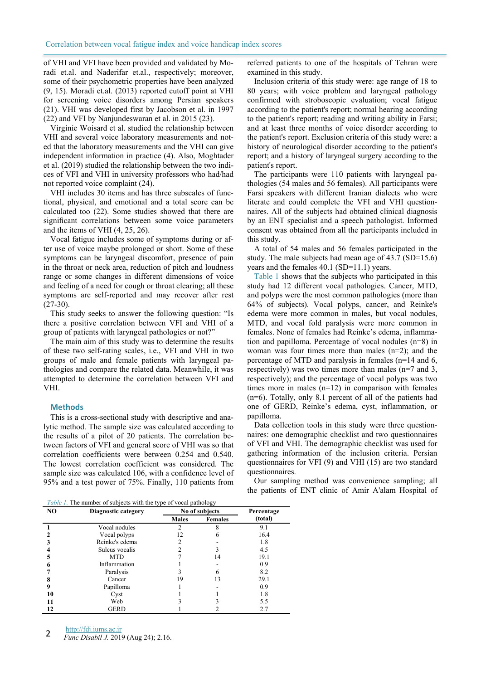of VHI and VFI have been provided and validated by Moradi et.al. and Naderifar et.al., respectively; moreover, some of their psychometric properties have been analyzed (9, 15). Moradi et.al. (2013) reported cutoff point at VHI for screening voice disorders among Persian speakers (21). VHI was developed first by Jacobson et al. in 1997 (22) and VFI by Nanjundeswaran et al. in 2015 (23).

Virginie Woisard et al. studied the relationship between VHI and several voice laboratory measurements and noted that the laboratory measurements and the VHI can give independent information in practice (4). Also, Moghtader et al. (2019) studied the relationship between the two indices of VFI and VHI in university professors who had/had not reported voice complaint (24).

VHI includes 30 items and has three subscales of functional, physical, and emotional and a total score can be calculated too (22). Some studies showed that there are significant correlations between some voice parameters and the items of VHI (4, 25, 26).

Vocal fatigue includes some of symptoms during or after use of voice maybe prolonged or short. Some of these symptoms can be laryngeal discomfort, presence of pain in the throat or neck area, reduction of pitch and loudness range or some changes in different dimensions of voice and feeling of a need for cough or throat clearing; all these symptoms are self-reported and may recover after rest (27-30).

This study seeks to answer the following question: "Is there a positive correlation between VFI and VHI of a group of patients with laryngeal pathologies or not?"

The main aim of this study was to determine the results of these two self-rating scales, i.e., VFI and VHI in two groups of male and female patients with laryngeal pathologies and compare the related data. Meanwhile, it was attempted to determine the correlation between VFI and VHI.

### **Methods**

This is a cross-sectional study with descriptive and analytic method. The sample size was calculated according to the results of a pilot of 20 patients. The correlation between factors of VFI and general score of VHI was so that correlation coefficients were between 0.254 and 0.540. The lowest correlation coefficient was considered. The sample size was calculated 106, with a confidence level of 95% and a test power of 75%. Finally, 110 patients from

referred patients to one of the hospitals of Tehran were examined in this study.

Inclusion criteria of this study were: age range of 18 to 80 years; with voice problem and laryngeal pathology confirmed with stroboscopic evaluation; vocal fatigue according to the patient's report; normal hearing according to the patient's report; reading and writing ability in Farsi; and at least three months of voice disorder according to the patient's report. Exclusion criteria of this study were: a history of neurological disorder according to the patient's report; and a history of laryngeal surgery according to the patient's report.

The participants were 110 patients with laryngeal pathologies (54 males and 56 females). All participants were Farsi speakers with different Iranian dialects who were literate and could complete the VFI and VHI questionnaires. All of the subjects had obtained clinical diagnosis by an ENT specialist and a speech pathologist. Informed consent was obtained from all the participants included in this study.

A total of 54 males and 56 females participated in the study. The male subjects had mean age of 43.7 (SD=15.6) years and the females 40.1 (SD=11.1) years.

Table 1 shows that the subjects who participated in this study had 12 different vocal pathologies. Cancer, MTD, and polyps were the most common pathologies (more than 64% of subjects). Vocal polyps, cancer, and Reinke's edema were more common in males, but vocal nodules, MTD, and vocal fold paralysis were more common in females. None of females had Reinke's edema, inflammation and papilloma. Percentage of vocal nodules (n=8) in woman was four times more than males (n=2); and the percentage of MTD and paralysis in females (n=14 and 6, respectively) was two times more than males (n=7 and 3, respectively); and the percentage of vocal polyps was two times more in males (n=12) in comparison with females (n=6). Totally, only 8.1 percent of all of the patients had one of GERD, Reinke's edema, cyst, inflammation, or papilloma.

Data collection tools in this study were three questionnaires: one demographic checklist and two questionnaires of VFI and VHI. The demographic checklist was used for gathering information of the inclusion criteria. Persian questionnaires for VFI (9) and VHI (15) are two standard questionnaires.

Our sampling method was convenience sampling; all the patients of ENT clinic of Amir A'alam Hospital of

*Table 1.* The number of subjects with the type of vocal pathology

| NO | $1,0000, 1$ . The number of $500$ person while the type of vocal pathology<br>Diagnostic category | No of subjects | Percentage     |         |
|----|---------------------------------------------------------------------------------------------------|----------------|----------------|---------|
|    |                                                                                                   | <b>Males</b>   | <b>Females</b> | (total) |
|    | Vocal nodules                                                                                     |                |                | 9.1     |
|    | Vocal polyps                                                                                      | 12             |                | 16.4    |
|    | Reinke's edema                                                                                    |                |                | 1.8     |
|    | Sulcus vocalis                                                                                    |                |                | 4.5     |
|    | <b>MTD</b>                                                                                        |                | 14             | 19.1    |
|    | Inflammation                                                                                      |                |                | 0.9     |
|    | Paralysis                                                                                         |                |                | 8.2     |
|    | Cancer                                                                                            | 19             | 13             | 29.1    |
| 9  | Papilloma                                                                                         |                |                | 0.9     |
| 10 | Cyst                                                                                              |                |                | 1.8     |
| 11 | Web                                                                                               |                |                | 5.5     |
| 12 | <b>GERD</b>                                                                                       |                |                | 2.7     |

http://fdj.iums.ac.ir

**<sup>2</sup>** *Func Disabil J.* 2019 (Aug 24); 2.16.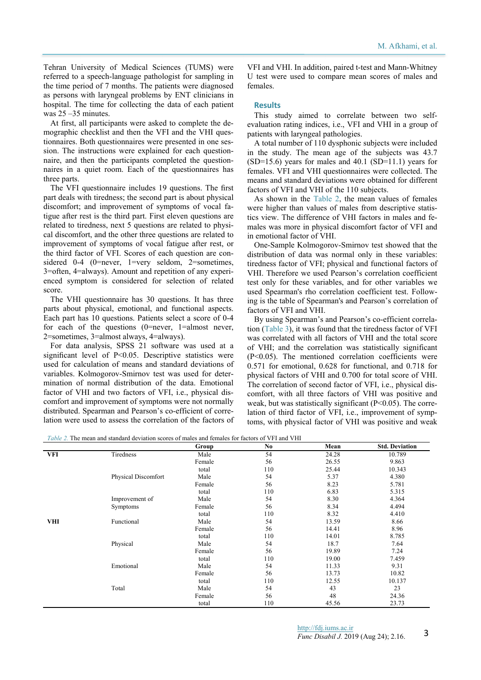Tehran University of Medical Sciences (TUMS) were referred to a speech-language pathologist for sampling in the time period of 7 months. The patients were diagnosed as persons with laryngeal problems by ENT clinicians in hospital. The time for collecting the data of each patient was 25 –35 minutes.

At first, all participants were asked to complete the demographic checklist and then the VFI and the VHI questionnaires. Both questionnaires were presented in one session. The instructions were explained for each questionnaire, and then the participants completed the questionnaires in a quiet room. Each of the questionnaires has three parts.

The VFI questionnaire includes 19 questions. The first part deals with tiredness; the second part is about physical discomfort; and improvement of symptoms of vocal fatigue after rest is the third part. First eleven questions are related to tiredness, next 5 questions are related to physical discomfort, and the other three questions are related to improvement of symptoms of vocal fatigue after rest, or the third factor of VFI. Scores of each question are considered 0-4 (0=never, 1=very seldom, 2=sometimes, 3=often, 4=always). Amount and repetition of any experienced symptom is considered for selection of related score.

The VHI questionnaire has 30 questions. It has three parts about physical, emotional, and functional aspects. Each part has 10 questions. Patients select a score of 0-4 for each of the questions (0=never, 1=almost never, 2=sometimes, 3=almost always, 4=always).

For data analysis, SPSS 21 software was used at a significant level of P<0.05. Descriptive statistics were used for calculation of means and standard deviations of variables. Kolmogorov-Smirnov test was used for determination of normal distribution of the data. Emotional factor of VHI and two factors of VFI, i.e., physical discomfort and improvement of symptoms were not normally distributed. Spearman and Pearson's co-efficient of correlation were used to assess the correlation of the factors of

VFI and VHI. In addition, paired t-test and Mann-Whitney U test were used to compare mean scores of males and females.

#### **Results**

This study aimed to correlate between two selfevaluation rating indices, i.e., VFI and VHI in a group of patients with laryngeal pathologies.

A total number of 110 dysphonic subjects were included in the study. The mean age of the subjects was 43.7  $(SD=15.6)$  years for males and 40.1  $(SD=11.1)$  years for females. VFI and VHI questionnaires were collected. The means and standard deviations were obtained for different factors of VFI and VHI of the 110 subjects.

As shown in the Table 2, the mean values of females were higher than values of males from descriptive statistics view. The difference of VHI factors in males and females was more in physical discomfort factor of VFI and in emotional factor of VHI.

One-Sample Kolmogorov-Smirnov test showed that the distribution of data was normal only in these variables: tiredness factor of VFI; physical and functional factors of VHI. Therefore we used Pearson's correlation coefficient test only for these variables, and for other variables we used Spearman's rho correlation coefficient test. Following is the table of Spearman's and Pearson's correlation of factors of VFI and VHI.

By using Spearman's and Pearson's co-efficient correlation (Table 3), it was found that the tiredness factor of VFI was correlated with all factors of VHI and the total score of VHI; and the correlation was statistically significant (P<0.05). The mentioned correlation coefficients were 0.571 for emotional, 0.628 for functional, and 0.718 for physical factors of VHI and 0.700 for total score of VHI. The correlation of second factor of VFI, i.e., physical discomfort, with all three factors of VHI was positive and weak, but was statistically significant  $(P<0.05)$ . The correlation of third factor of VFI, i.e., improvement of symptoms, with physical factor of VHI was positive and weak

*Table 2.* The mean and standard deviation scores of males and females for factors of VFI and VHI

|            |                     | Group  | No. | Mean  | <b>Std. Deviation</b> |
|------------|---------------------|--------|-----|-------|-----------------------|
| VFI        | Tiredness           | Male   | 54  | 24.28 | 10.789                |
|            |                     | Female | 56  | 26.55 | 9.863                 |
|            |                     | total  | 110 | 25.44 | 10.343                |
|            | Physical Discomfort | Male   | 54  | 5.37  | 4.380                 |
|            |                     | Female | 56  | 8.23  | 5.781                 |
|            |                     | total  | 110 | 6.83  | 5.315                 |
|            | Improvement of      | Male   | 54  | 8.30  | 4.364                 |
|            | Symptoms            | Female | 56  | 8.34  | 4.494                 |
|            |                     | total  | 110 | 8.32  | 4.410                 |
| <b>VHI</b> | Functional          | Male   | 54  | 13.59 | 8.66                  |
|            |                     | Female | 56  | 14.41 | 8.96                  |
|            |                     | total  | 110 | 14.01 | 8.785                 |
|            | Physical            | Male   | 54  | 18.7  | 7.64                  |
|            |                     | Female | 56  | 19.89 | 7.24                  |
|            |                     | total  | 110 | 19.00 | 7.459                 |
|            | Emotional           | Male   | 54  | 11.33 | 9.31                  |
|            |                     | Female | 56  | 13.73 | 10.82                 |
|            |                     | total  | 110 | 12.55 | 10.137                |
|            | Total               | Male   | 54  | 43    | 23                    |
|            |                     | Female | 56  | 48    | 24.36                 |
|            |                     | total  | 110 | 45.56 | 23.73                 |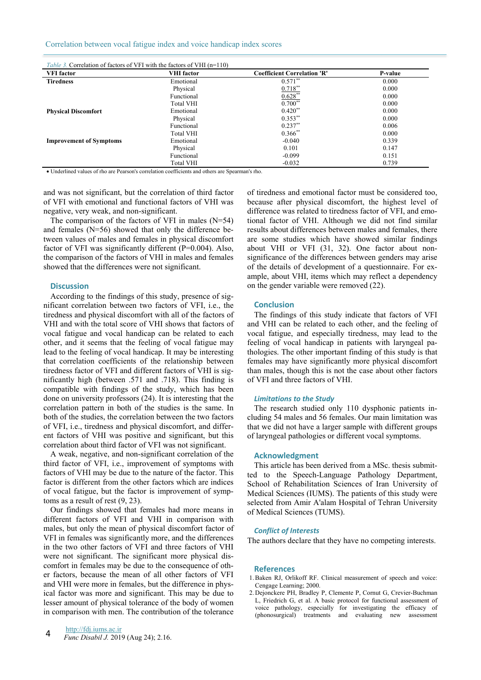Correlation between vocal fatigue index and voice handicap index scores

| <i>Table 3.</i> Correlation of factors of VFI with the factors of VHI (n=110) |                   |                                    |                |  |  |  |  |
|-------------------------------------------------------------------------------|-------------------|------------------------------------|----------------|--|--|--|--|
| <b>VFI</b> factor                                                             | <b>VHI</b> factor | <b>Coefficient Correlation 'R'</b> | <b>P-value</b> |  |  |  |  |
| <b>Tiredness</b>                                                              | Emotional         | $0.571**$                          | 0.000          |  |  |  |  |
|                                                                               | Physical          | $0.718**$                          | 0.000          |  |  |  |  |
|                                                                               | Functional        | $0.628**$                          | 0.000          |  |  |  |  |
|                                                                               | <b>Total VHI</b>  | $0.700**$                          | 0.000          |  |  |  |  |
| <b>Physical Discomfort</b>                                                    | Emotional         | $0.420**$                          | 0.000          |  |  |  |  |
|                                                                               | Physical          | $0.353**$                          | 0.000          |  |  |  |  |
|                                                                               | Functional        | $0.237**$                          | 0.006          |  |  |  |  |
|                                                                               | <b>Total VHI</b>  | $0.366$ **                         | 0.000          |  |  |  |  |
| <b>Improvement of Symptoms</b>                                                | Emotional         | $-0.040$                           | 0.339          |  |  |  |  |
|                                                                               | Physical          | 0.101                              | 0.147          |  |  |  |  |
|                                                                               | Functional        | $-0.099$                           | 0.151          |  |  |  |  |
|                                                                               | <b>Total VHI</b>  | $-0.032$                           | 0.739          |  |  |  |  |

• Underlined values of rho are Pearson's correlation coefficients and others are Spearman's rho.

and was not significant, but the correlation of third factor of VFI with emotional and functional factors of VHI was negative, very weak, and non-significant.

The comparison of the factors of VFI in males (N=54) and females (N=56) showed that only the difference between values of males and females in physical discomfort factor of VFI was significantly different (P=0.004). Also, the comparison of the factors of VHI in males and females showed that the differences were not significant.

### **Discussion**

According to the findings of this study, presence of significant correlation between two factors of VFI, i.e., the tiredness and physical discomfort with all of the factors of VHI and with the total score of VHI shows that factors of vocal fatigue and vocal handicap can be related to each other, and it seems that the feeling of vocal fatigue may lead to the feeling of vocal handicap. It may be interesting that correlation coefficients of the relationship between tiredness factor of VFI and different factors of VHI is significantly high (between .571 and .718). This finding is compatible with findings of the study, which has been done on university professors (24). It is interesting that the correlation pattern in both of the studies is the same. In both of the studies, the correlation between the two factors of VFI, i.e., tiredness and physical discomfort, and different factors of VHI was positive and significant, but this correlation about third factor of VFI was not significant.

A weak, negative, and non-significant correlation of the third factor of VFI, i.e., improvement of symptoms with factors of VHI may be due to the nature of the factor. This factor is different from the other factors which are indices of vocal fatigue, but the factor is improvement of symptoms as a result of rest (9, 23).

Our findings showed that females had more means in different factors of VFI and VHI in comparison with males, but only the mean of physical discomfort factor of VFI in females was significantly more, and the differences in the two other factors of VFI and three factors of VHI were not significant. The significant more physical discomfort in females may be due to the consequence of other factors, because the mean of all other factors of VFI and VHI were more in females, but the difference in physical factor was more and significant. This may be due to lesser amount of physical tolerance of the body of women in comparison with men. The contribution of the tolerance

of tiredness and emotional factor must be considered too, because after physical discomfort, the highest level of difference was related to tiredness factor of VFI, and emotional factor of VHI. Although we did not find similar results about differences between males and females, there are some studies which have showed similar findings about VHI or VFI (31, 32). One factor about nonsignificance of the differences between genders may arise of the details of development of a questionnaire. For example, about VHI, items which may reflect a dependency on the gender variable were removed (22).

### **Conclusion**

The findings of this study indicate that factors of VFI and VHI can be related to each other, and the feeling of vocal fatigue, and especially tiredness, may lead to the feeling of vocal handicap in patients with laryngeal pathologies. The other important finding of this study is that females may have significantly more physical discomfort than males, though this is not the case about other factors of VFI and three factors of VHI.

#### *Limitations to the Study*

The research studied only 110 dysphonic patients including 54 males and 56 females. Our main limitation was that we did not have a larger sample with different groups of laryngeal pathologies or different vocal symptoms.

## **Acknowledgment**

This article has been derived from a MSc. thesis submitted to the Speech-Language Pathology Department, School of Rehabilitation Sciences of Iran University of Medical Sciences (IUMS). The patients of this study were selected from Amir A'alam Hospital of Tehran University of Medical Sciences (TUMS).

#### *Conflict of Interests*

The authors declare that they have no competing interests.

## **References**

- 1. Baken RJ, Orlikoff RF. Clinical measurement of speech and voice: Cengage Learning; 2000.
- 2. Dejonckere PH, Bradley P, Clemente P, Cornut G, Crevier-Buchman L, Friedrich G, et al. A basic protocol for functional assessment of voice pathology, especially for investigating the efficacy of (phonosurgical) treatments and evaluating new assessment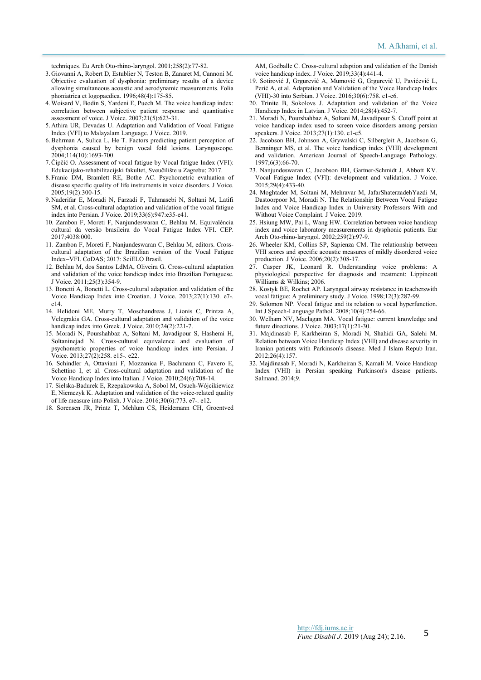techniques. Eu Arch Oto-rhino-laryngol. 2001;258(2):77-82.

- 3. Giovanni A, Robert D, Estublier N, Teston B, Zanaret M, Cannoni M. Objective evaluation of dysphonia: preliminary results of a device allowing simultaneous acoustic and aerodynamic measurements. Folia phoniatrica et logopaedica. 1996;48(4):175-85.
- 4. Woisard V, Bodin S, Yardeni E, Puech M. The voice handicap index: correlation between subjective patient response and quantitative assessment of voice. J Voice. 2007;21(5):623-31.
- 5. Athira UR, Devadas U. Adaptation and Validation of Vocal Fatigue Index (VFI) to Malayalam Language. J Voice. 2019.
- 6. Behrman A, Sulica L, He T. Factors predicting patient perception of dysphonia caused by benign vocal fold lesions. Laryngoscope. 2004;114(10):1693-700.
- 7. Čipčić O. Assessment of vocal fatigue by Vocal fatigue Index (VFI): Edukacijsko-rehabilitacijski fakultet, Sveučilište u Zagrebu; 2017.
- 8. Franic DM, Bramlett RE, Bothe AC. Psychometric evaluation of disease specific quality of life instruments in voice disorders. J Voice. 2005;19(2):300-15.
- 9. Naderifar E, Moradi N, Farzadi F, Tahmasebi N, Soltani M, Latifi SM, et al. Cross-cultural adaptation and validation of the vocal fatigue index into Persian. J Voice. 2019;33(6):947:e35-e41.
- 10. Zambon F, Moreti F, Nanjundeswaran C, Behlau M. Equivalência cultural da versão brasileira do Vocal Fatigue Index–VFI. CEP. 2017;4038:000.
- 11. Zambon F, Moreti F, Nanjundeswaran C, Behlau M, editors. Crosscultural adaptation of the Brazilian version of the Vocal Fatigue Index–VFI. CoDAS; 2017: SciELO Brasil.
- 12. Behlau M, dos Santos LdMA, Oliveira G. Cross-cultural adaptation and validation of the voice handicap index into Brazilian Portuguese. J Voice. 2011;25(3):354-9.
- 13. Bonetti A, Bonetti L. Cross-cultural adaptation and validation of the Voice Handicap Index into Croatian. J Voice. 2013;27(1):130. e7-. e14.
- 14. Helidoni ME, Murry T, Moschandreas J, Lionis C, Printza A, Velegrakis GA. Cross-cultural adaptation and validation of the voice handicap index into Greek. J Voice. 2010;24(2):221-7.
- 15. Moradi N, Pourshahbaz A, Soltani M, Javadipour S, Hashemi H, Soltaninejad N. Cross-cultural equivalence and evaluation of psychometric properties of voice handicap index into Persian. J Voice. 2013;27(2):258. e15-. e22.
- 16. Schindler A, Ottaviani F, Mozzanica F, Bachmann C, Favero E, Schettino I, et al. Cross-cultural adaptation and validation of the Voice Handicap Index into Italian. J Voice. 2010;24(6):708-14.
- 17. Sielska-Badurek E, Rzepakowska A, Sobol M, Osuch-Wójcikiewicz E, Niemczyk K. Adaptation and validation of the voice-related quality of life measure into Polish. J Voice. 2016;30(6):773. e7-. e12.
- 18. Sorensen JR, Printz T, Mehlum CS, Heidemann CH, Groentved

AM, Godballe C. Cross-cultural adaption and validation of the Danish voice handicap index. J Voice. 2019;33(4):441-4.

- 19. Sotirović J, Grgurević A, Mumović G, Grgurević U, Pavićević L, Perić A, et al. Adaptation and Validation of the Voice Handicap Index (VHI)-30 into Serbian. J Voice. 2016;30(6):758. e1-e6.
- 20. Trinite B, Sokolovs J. Adaptation and validation of the Voice Handicap Index in Latvian. J Voice. 2014;28(4):452-7.
- 21. Moradi N, Pourshahbaz A, Soltani M, Javadipour S. Cutoff point at voice handicap index used to screen voice disorders among persian speakers. J Voice. 2013;27(1):130. e1-e5.
- 22. Jacobson BH, Johnson A, Grywalski C, Silbergleit A, Jacobson G, Benninger MS, et al. The voice handicap index (VHI) development and validation. American Journal of Speech-Language Pathology. 1997;6(3):66-70.
- 23. Nanjundeswaran C, Jacobson BH, Gartner-Schmidt J, Abbott KV. Vocal Fatigue Index (VFI): development and validation. J Voice. 2015;29(4):433-40.
- 24. Moghtader M, Soltani M, Mehravar M, JafarShaterzadehYazdi M, Dastoorpoor M, Moradi N. The Relationship Between Vocal Fatigue Index and Voice Handicap Index in University Professors With and Without Voice Complaint. J Voice. 2019.
- 25. Hsiung MW, Pai L, Wang HW. Correlation between voice handicap index and voice laboratory measurements in dysphonic patients. Eur Arch Oto-rhino-laryngol. 2002;259(2):97-9.
- 26. Wheeler KM, Collins SP, Sapienza CM. The relationship between VHI scores and specific acoustic measures of mildly disordered voice production. J Voice. 2006;20(2):308-17.
- 27. Casper JK, Leonard R. Understanding voice problems: A physiological perspective for diagnosis and treatment: Lippincott Williams & Wilkins; 2006.
- 28. Kostyk BE, Rochet AP. Laryngeal airway resistance in teacherswith vocal fatigue: A preliminary study. J Voice. 1998;12(3):287-99.
- 29. Solomon NP. Vocal fatigue and its relation to vocal hyperfunction. Int J Speech-Language Pathol. 2008;10(4):254-66.
- 30. Welham NV, Maclagan MA. Vocal fatigue: current knowledge and future directions. J Voice. 2003;17(1):21-30.
- 31. Majdinasab F, Karkheiran S, Moradi N, Shahidi GA, Salehi M. Relation between Voice Handicap Index (VHI) and disease severity in Iranian patients with Parkinson's disease. Med J Islam Repub Iran. 2012;26(4):157.
- 32. Majdinasab F, Moradi N, Karkheiran S, Kamali M. Voice Handicap Index (VHI) in Persian speaking Parkinson's disease patients. Salmand. 2014;9.